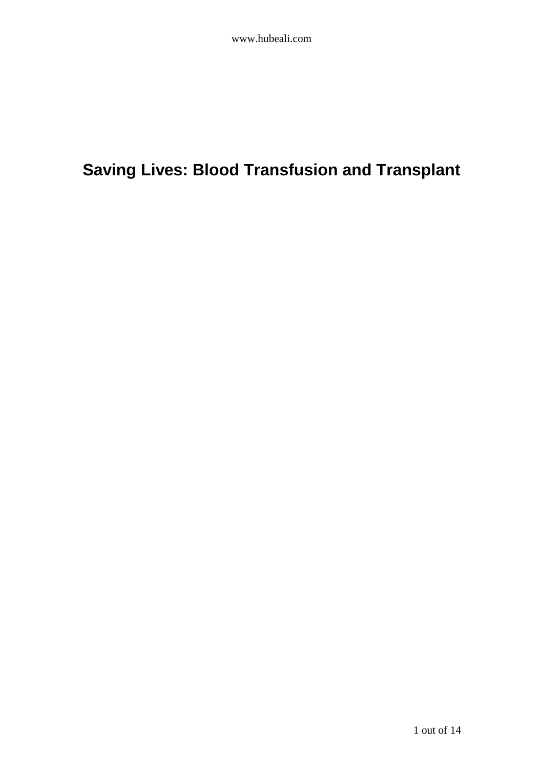# **Saving Lives: Blood Transfusion and Transplant**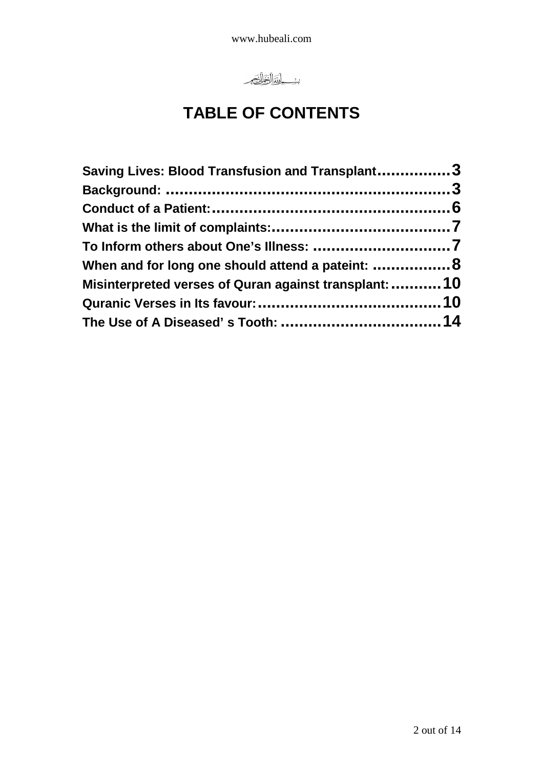www.hubeali.com



# **TABLE OF CONTENTS**

| Saving Lives: Blood Transfusion and Transplant3                                                            |  |  |  |
|------------------------------------------------------------------------------------------------------------|--|--|--|
|                                                                                                            |  |  |  |
| When and for long one should attend a pateint:  8<br>Misinterpreted verses of Quran against transplant: 10 |  |  |  |
|                                                                                                            |  |  |  |
|                                                                                                            |  |  |  |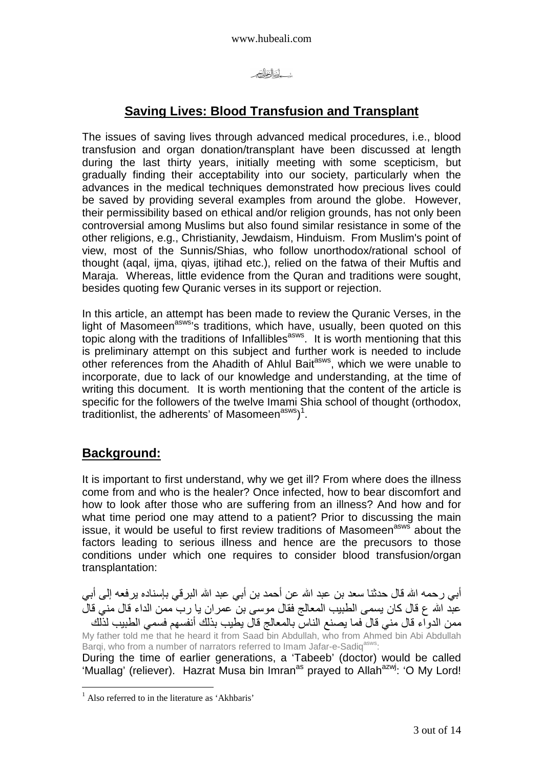

## **Saving Lives: Blood Transfusion and Transplant**

The issues of saving lives through advanced medical procedures, i.e., blood transfusion and organ donation/transplant have been discussed at length during the last thirty years, initially meeting with some scepticism, but gradually finding their acceptability into our society, particularly when the advances in the medical techniques demonstrated how precious lives could be saved by providing several examples from around the globe. However, their permissibility based on ethical and/or religion grounds, has not only been controversial among Muslims but also found similar resistance in some of the other religions, e.g., Christianity, Jewdaism, Hinduism. From Muslim's point of view, most of the Sunnis/Shias, who follow unorthodox/rational school of thought (aqal, ijma, qiyas, ijtihad etc.), relied on the fatwa of their Muftis and Maraja. Whereas, little evidence from the Quran and traditions were sought, besides quoting few Quranic verses in its support or rejection.

In this article, an attempt has been made to review the Quranic Verses, in the light of Masomeen<sup>asws</sup>'s traditions, which have, usually, been quoted on this topic along with the traditions of Infallibles<sup>asws</sup>. It is worth mentioning that this is preliminary attempt on this subject and further work is needed to include other references from the Ahadith of Ahlul Bait<sup>asws</sup>, which we were unable to incorporate, due to lack of our knowledge and understanding, at the time of writing this document. It is worth mentioning that the content of the article is specific for the followers of the twelve Imami Shia school of thought (orthodox, traditionlist, the adherents' of Masomeen<sup>asws</sup>)<sup>1</sup>.

#### **Background:**

 $\overline{a}$ 

It is important to first understand, why we get ill? From where does the illness come from and who is the healer? Once infected, how to bear discomfort and how to look after those who are suffering from an illness? And how and for what time period one may attend to a patient? Prior to discussing the main issue, it would be useful to first review traditions of Masomeen<sup>asws</sup> about the factors leading to serious illness and hence are the precusors to those conditions under which one requires to consider blood transfusion/organ transplantation:

أبي رحمه الله قال حدثنـا سعد بن عبد الله عن أحمد بن أبـي عبد الله البرـقي بـإسنـاده يرفعه إلـي أبـي عبد الله ع قال كان يسمى الطبيب المعالج فقال موسى بن عمر ان يا رب ممن الداء قال مني قال ممن الدواء قال مني قال فما يصنع الناس بالمعالج قال يطيب بذلك أنفسهم فسمي الطبيب لذلك

My father told me that he heard it from Saad bin Abdullah, who from Ahmed bin Abi Abdullah Bargi, who from a number of narrators referred to Imam Jafar-e-Sadiq<sup>asws</sup>:

During the time of earlier generations, a 'Tabeeb' (doctor) would be called 'Muallag' (reliever). Hazrat Musa bin Imran<sup>as</sup> prayed to Allah<sup>azwj</sup>: 'O My Lord!

<sup>&</sup>lt;sup>1</sup> Also referred to in the literature as 'Akhbaris'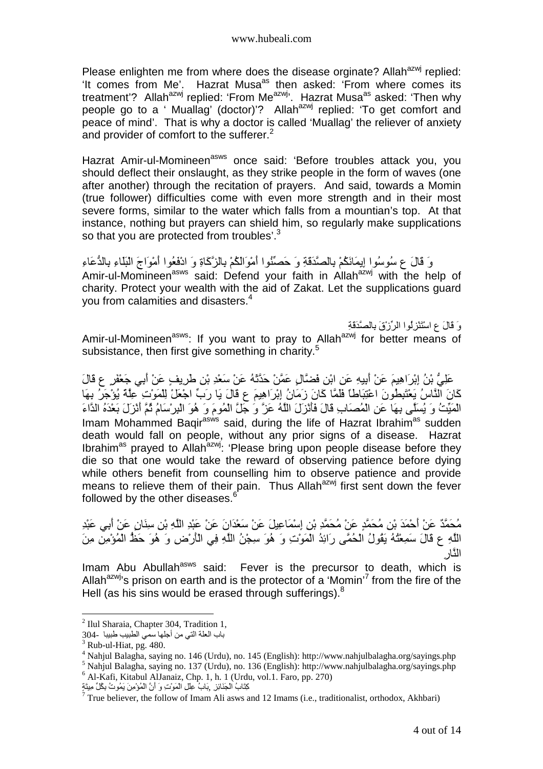Please enlighten me from where does the disease orginate? Allah<sup>azwj</sup> replied: 'It comes from Me'. Hazrat Musa<sup>as</sup> then asked: 'From where comes its treatment'? Allah<sup>azwj</sup> replied: 'From Me<sup>azwj</sup>'. Hazrat Musa<sup>as</sup> asked: 'Then why people go to a ' Muallag' (doctor)'? Allah<sup>azwj</sup> replied: 'To get comfort and peace of mind'. That is why a doctor is called 'Muallag' the reliever of anxiety and provider of comfort to the sufferer.<sup>2</sup>

Hazrat Amir-ul-Momineen<sup>asws</sup> once said: 'Before troubles attack you, you should deflect their onslaught, as they strike people in the form of waves (one after another) through the recitation of prayers. And said, towards a Momin (true follower) difficulties come with even more strength and in their most severe forms, similar to the water which falls from a mountian's top. At that instance, nothing but prayers can shield him, so regularly make supplications so that you are protected from troubles'. $3$ 

وَ قَالَ ع سُوسُوا إِيمَانَكُمْ بِالْصَّدَقَةِ وَ حَصِّنُوا أَمْوَالَكُمْ بِالزَّكَاةِ وَ ادْفَعُوا أَمْوَاجَ النِّلَاءِ بِالدُّعَاءِ Amir-ul-Momineen<sup>asws</sup> said: Defend your faith in Allah<sup>azwj</sup> with the help of charity. Protect your wealth with the aid of Zakat. Let the supplications guard you from calamities and disasters.<sup>4</sup>

وَ قَالَ عِ اسْتَنْزِلُوا الرِّزْقَ بِالصَّدَقَةِ Amir-ul-Momineen<sup>asws</sup>: If you want to pray to Allah<sup>azwj</sup> for better means of subsistance, then first give something in charity.<sup>5</sup>

َ عَلِيُّ بْنُ إِبْرَاهِيمَ عَنْ أُبِيهِ عَنِ ابْنِ فَضَّالٍ عَمَّنْ حَدَّثَهُ عَنْ سَعْدِ بْنِ طَرِيفٍ عَنْ أَبِي جَعْفَرٍ ع قَالَ كَانَ النَّاسُ يَعْتَبِطُونَ اعْتِبَاطًا فَلَمَّا كَانَ زَمَانُ إِبْرَاهِيمَ ع قَالَ يَا رَبِّ اجْعَلْ لِلْمَوْتِ عِلْمٌ يُؤْجَرُ بِهَا الْمَيِّتُ وَ يُسَلِّي بِهَا عَنِ الْمُصَابِ قَالَ فَأَنْزَلَ اللَّهُ عَزَّ وَ جَلَّ الْمُومَ وَ هُوَ الْبِرْسَامُ ثُمَّ أَنْزَلَ بَعْدَهُ الدَّاءَ Imam Mohammed Bagir<sup>asws</sup> said, during the life of Hazrat Ibrahim<sup>as</sup> sudden death would fall on people, without any prior signs of a disease. Hazrat Ibrahim<sup>as</sup> prayed to Allah<sup>azwj</sup>: 'Please bring upon people disease before they die so that one would take the reward of observing patience before dying while others benefit from counselling him to observe patience and provide means to relieve them of their pain. Thus Allah<sup>azwj</sup> first sent down the fever followed by the other diseases.<sup>6</sup>

مُحَمَّدٌ عَنْ أَحْمَدَ بْنِ مُحَمَّدٍ عَنْ مُحَمَّدِ بْنِ إِسْمَاعِيلَ عَنْ سَعْدَانَ عَنْ عَبْدِ اللَّهِ بْنِ سِذَانٍ عَنْ أَبِي عَبْدِ اللَّهِ ع قَالَ سَمِعْتُهُ يَقُولُ الْحُمَّى رَائِدُ الْمَوْتِ وَ هُوَ سِجْنُ اللَّهِ فِي الْأَرْضِ وَ هُوَ حَظَّ الْمُؤْمِنِ مِنَ ا<رِ

Imam Abu Abullah<sup>asws</sup> said: Fever is the precursor to death, which is Allah<sup>azwj</sup>'s prison on earth and is the protector of a 'Momin'<sup>7</sup> from the fire of the Hell (as his sins would be erased through sufferings). $8$ 

 $\overline{a}$ <sup>2</sup> Ilul Sharaia, Chapter 304, Tradition 1,

باب العلة التي من أجلها سمي الطبيب طبيبا -304

 $3$  Rub-ul-Hiat, pg. 480.

<sup>4</sup> Nahjul Balagha, saying no. 146 (Urdu), no. 145 (English): http://www.nahjulbalagha.org/sayings.php

<sup>5</sup> Nahjul Balagha, saying no. 137 (Urdu), no. 136 (English): http://www.nahjulbalagha.org/sayings.php 6 Al-Kafi, Kitabul AlJanaiz, Chp. 1, h. 1 (Urdu, vol.1. Faro, pp. 270)

كِتَابُ الْجَذَائِزِ ۚ بِبَابُ عِلْلِ الْمَوْتِ وَ أَنَّ الْمُؤْمِنَ يَمُوتُ بِكْلِّ مِيتَةٍ

<sup>&</sup>lt;sup>7</sup> True believer, the follow of Imam Ali asws and 12 Imams (i.e., traditionalist, orthodox, Akhbari)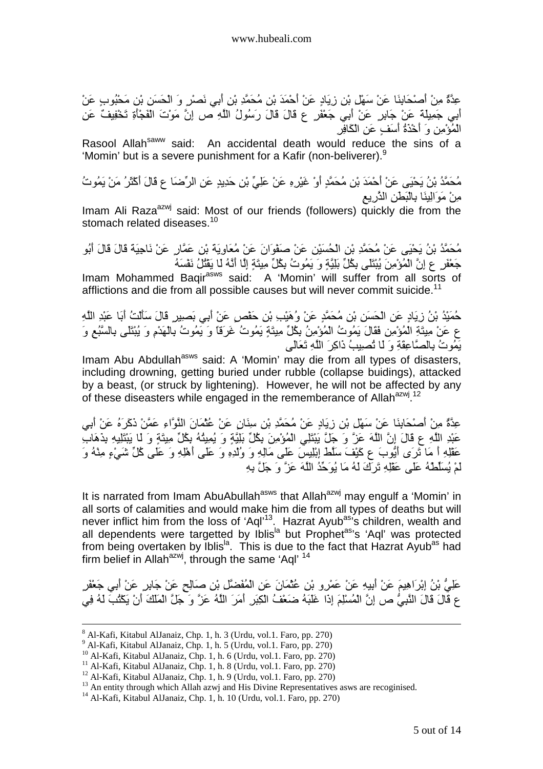عِدَّةٌ مِنْ أَصْحَابِنَا عَنْ سَهْلٍ بْنِ زِيَادٍ عَنْ أَحْمَدَ بْنِ مُحَمَّدِ بْنِ أَبِي نَصْرٍ وَ الْحَسَنِ بْنِ مَحْبُوبٍ عَنْ أَبِي جَمِيلَةَ عَنْ جَابِرٍ عَنْ أَبِي جَعْفَرٍ عِ قَالَ قَالَ رَسُولُ اللَّهِ ص إِنَّ مَوْتَ الْفَجْأَةِ تَخْفِيفٌ عَنِ الْمُؤْمِنِ وَ أَخْذَةُ أَسَفٍ عَنِ الْكَافِرِ

Rasool Allah<sup>saww</sup> said: An accidental death would reduce the sins of a 'Momin' but is a severe punishment for a Kafir (non-beliverer).<sup>9</sup>

مُحَمَّدُ بْنُ يَحْيَى عَنْ أَحْمَدَ بْنِ مُحَمَّدٍ أَوْ غَيْرِهِ عَنْ عَلِيٍّ بْنِ حَدِيدٍ عَنِ الرِّضَا ع قَالَ أَكْثَرُ مَنْ يَمُوتُ مِنْ مَوَالِينَا بِالْبَطْنِ الذَّرِيعِ

Imam Ali Raza<sup>azwj</sup> said: Most of our friends (followers) quickly die from the stomach related diseases. $^{10}$ 

مُحَمَّدُ بْنُ يَحْيَى عَنْ مُحَمَّدِ بْنِ الْحُسَيْنِ عَنْ صَفْوَانَ عَنْ مُعَاوِيَة بْنِ عَمَّارٍ عَنْ نَاجِيَةً قَالَ قَالَ أَبُو جَعْفَر ع إنَّ الْمُؤْمِنَ يُبْتَلَى بِكُلِّ بَلِيَّةٍ وَ يَمُوتُ بِكُلِّ مِيتَةٍ إِلَّا أَنَّهُ لَا يَقْتُلُ نَفْسَهُ

Imam Mohammed Baqir<sup>asws</sup> said: A 'Momin' will suffer from all sorts of afflictions and die from all possible causes but will never commit suicide.<sup>11</sup>

حُمَيْدُ بْنُ زِيَادٍ عَنِ الْحَسَنِ بْنِ مُحَمَّدٍ عَنْ وُهَيْبِ بْنِ حَفْصٍ عَنْ أَبِي بَصِيرٍ قَالَ سَأَلْتُ أَبَا عَبْدِ اللَّهِ ع عَنْ مِيتَةِ الْمُؤْمِنِ فَقَالَ يَمُوتُ الْمُؤْمِنُ بِكُلِّ مِيتَةٍ يَمُوتُ غَرَفَا وَ يَمُوتُ بِالْهَدْمِ وَ يُبْتَلَى بِالسَّبُعِ وَ يَمُوتُ بِالصَّاعِقَةِ وَ لَـا تُصبِيبُ ذَاكِرَ اللَّهِ تَعَالَى

Imam Abu Abdullah<sup>asws</sup> said: A 'Momin' may die from all types of disasters, including drowning, getting buried under rubble (collapse buidings), attacked by a beast, (or struck by lightening). However, he will not be affected by any of these diseasters while engaged in the rememberance of Allah<sup>azwj 12</sup>

عِدَّةٌ مِنْ أَصْحَابِنَا عَنْ سَهْلٍ بْنِ زِيَادٍ عَنْ مُحَمَّدِ بْنِ سِنَانٍ عَنْ عُثْمَانَ الْنُوَّاءِ عَمَّنْ ذَكَرَهُ عَنْ أَبِي عَبْدِ اللَّهِ ع قَالَ إِنَّ اللَّهَ عَزَّ وَ جَلَّ يَبْتَلِي الْمُؤْمِنَ بِكُلِّ بَلِيَّةٍ وَ يُمِيثُهُ بِكُلِّ مِيتَةٍ وَ لَا يَبْتَلِيهِ بِذَهَابِ عَقْلِهِ أَ مَا نَرَى أَيُّوبَ ع كَيْفَ سَلَطْ إِبْلِيسَ عَلَى مَالِهِ وَ وُلْدِهِ وَ عَلَى أَهْلِهِ وَ عَلَى كُلِّ شَيْءٍ مِنْهُ وَ لَمْ يُسَلِّطْهُ عَلَى عَقْلِهِ تَرَكَ لَهُ مَا يُوَحِّدُ اللَّهَ عَزَّ وَ جَلَّ بِهِ

It is narrated from Imam AbuAbullah<sup>asws</sup> that Allah<sup>azwj</sup> may engulf a 'Momin' in all sorts of calamities and would make him die from all types of deaths but will never inflict him from the loss of 'Aql'<sup>13</sup>. Hazrat Ayub<sup>as</sup>'s children, wealth and all dependents were targetted by Iblis<sup>la</sup> but Prophet<sup>as</sup>'s 'Aql' was protected from being overtaken by Iblis<sup>la</sup>. This is due to the fact that Hazrat Ayub<sup>as</sup> had firm belief in Allah<sup>azwj</sup>, through the same 'Aql'  $14$ 

عَلِّيُّ بْنُ إِبْرَاهِيمَ عَنْ أُبِيهِ عَنْ عَمْرِو بْنِ عُثْمَانَ عَنِ الْمُفَضِّلِ بْنِ صَالِحٍ عَنْ جَابِرٍ عَنْ أَبِي جَعْفَرِ ع قَالَ قَالَ النَّبِيُّ ص إِنَّ الْمُسْلِمَ إِذَا غَلَبَهُ ضَعْفُ الْكِبَرِ ۚ أَمَرَ اللَّهُ عَزَّ وَ جَلَّ الْمَلْكَ أَنْ يَكْثُبَ لَهُ فِي

 $\overline{a}$ 8 Al-Kafi, Kitabul AlJanaiz, Chp. 1, h. 3 (Urdu, vol.1. Faro, pp. 270)

<sup>9</sup> Al-Kafi, Kitabul AlJanaiz, Chp. 1, h. 5 (Urdu, vol.1. Faro, pp. 270)

<sup>10</sup> Al-Kafi, Kitabul AlJanaiz, Chp. 1, h. 6 (Urdu, vol.1. Faro, pp. 270)

<sup>11</sup> Al-Kafi, Kitabul AlJanaiz, Chp. 1, h. 8 (Urdu, vol.1. Faro, pp. 270)

<sup>&</sup>lt;sup>12</sup> Al-Kafi, Kitabul AlJanaiz, Chp. 1, h. 9 (Urdu, vol.1. Faro, pp. 270)

<sup>&</sup>lt;sup>13</sup> An entity through which Allah azwj and His Divine Representatives asws are recoginised.

<sup>14</sup> Al-Kafi, Kitabul AlJanaiz, Chp. 1, h. 10 (Urdu, vol.1. Faro, pp. 270)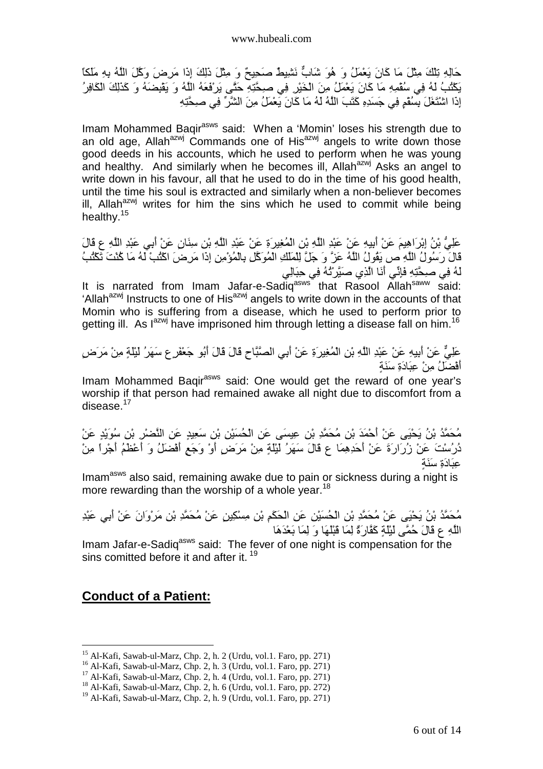حَالِهِ تِلْكَ مِثْلَ مَا كَانَ يَعْمَلُ وَ هُوَ شَابٌ نَشْيِطٌ صَحِيحٌ وَ مِثْلَ ذَلِكَ إِذَا مَرِضَ وَكَلَ اللَّهُ بِهِ مَلَكًا يَكْتُبُ لَهُ فِي سُقْمِهِ مَا كَانَ يَعْمَلُ مِنَ الْخَيْرِ فِي صِحَّتِهِ حَتَّى يَرْفَعَهُ اللَّهُ وَ يَقْبِضَهُ وَ كَذَلِكَ الْكَافِرُ إِذَا اشْتَغَلَ بِسُفْمٍ فِي جَسَدِهِ كَتَبَ اللَّهُ لَهُ مَا كَانَ يَعْمَلُ مِنَ الشَّرِّ فِي صبحَّتِهِ

Imam Mohammed Baqir<sup>asws</sup> said: When a 'Momin' loses his strength due to an old age, Allah $a^{2x}$  Commands one of His $a^{2x}$  angels to write down those good deeds in his accounts, which he used to perform when he was young and healthy. And similarly when he becomes ill, Allah<sup>azwj</sup> Asks an angel to write down in his favour, all that he used to do in the time of his good health, until the time his soul is extracted and similarly when a non-believer becomes ill. Allah $a^{2x}$  writes for him the sins which he used to commit while being healthy.<sup>15</sup>

عَلِيُّ بْنُ إِبْرَاهِيمَ عَنْ أُبِيهِ عَنْ عَبْدِ اللَّهِ بْنِ الْمُغِيرَةِ عَنْ عَبْدِ اللَّهِ بْنِ سِنَانٍ عَنْ أُبِي عَبْدِ اللَّهِ ع قَالَ قَالَ رَسُولُ اللَّهِ ص يَقُولُ اللَّهُ عَزَّ وَ جَلَّ لِلْمَلْكِ الْمُوَكَّلِ بِالْمُؤْمِنِ إِذَا مَرِضَ اكْتُبْ لَهُ مَا كُنْتَ تَكْتُبُ لَّهُ فِي صبحَّتِهِ فَإِنِّي أَنَا الَّذِي صَبَّرٌ نُهُ فِي حِبَالِي

It is narrated from Imam Jafar-e-Sadiq<sup>asws that Rasool Allah<sup>saww</sup> said:</sup> 'Allah<sup>azwj</sup> Instructs to one of His<sup>azwj</sup> angels to write down in the accounts of that Momin who is suffering from a disease, which he used to perform prior to getting ill. As l<sup>azwj</sup> have imprisoned him through letting a disease fall on him.<sup>16</sup>

عَلِيٌّ عَنْ أُبِيهِ عَنْ عَبْدِ اللَّهِ بْنِ الْمُغِيرِ ةِ عَنْ أَبِي الْصَّبَّاحِ قَالَ قَالَ أَبُو جَعْفَرِ ع سَهَرُ لَيْلَةٍ مِنْ مَرَضٍ أَفْضَلُ مِنْ عِبَادَةِ سَنَةٍ

Imam Mohammed Baqir<sup>asws</sup> said: One would get the reward of one year's worship if that person had remained awake all night due to discomfort from a disease. $^{17}$ 

مُحَمَّدُ بْنُ يَحْيَى عَنْ أَحْمَدَ بْنِ مُحَمَّدِ بْنِ عِيسَى عَنِ الْحُسَيْنِ بْنِ سَعِيدٍ عَنِ النَّصْرِ بْنِ سُوَيْدٍ عَنْ دُرُسْتَ عَنْ زُرَارَةَ عَنْ أَحَدِهِمَا ع قَالَ سَهَرُ لَيْلَةٍ مِنْ مَرَضٍ أَوْ وَجَعٍ أَفْضَلُ وَ أَعْظَمُ أَجْراً مِنْ عَـَادَةِ سَنَـة

Imam<sup>asws</sup> also said, remaining awake due to pain or sickness during a night is more rewarding than the worship of a whole year.<sup>18</sup>

مُحَمَّدُ بْنُ يَحْيَى عَنْ مُحَمَّدِ بْنِ الْحُسَيْنِ عَنِ الْحَكَمِ بْنِ مِسْكِينِ عَنْ مُحَمَّدِ بْنِ مَرْوَانَ عَنْ أَبِي عَبْدِ اللَّهِ ع قَالَ حُمَّى لَيْلَةٍ كَقَارَةٌ لِمَا قَبْلُهَا وَ لِمَا بَعْدَهَا

Imam Jafar-e-Sadiq<sup>asws</sup> said: The fever of one night is compensation for the sins comitted before it and after it.  $19$ 

#### **Conduct of a Patient:**

<sup>&</sup>lt;sup>15</sup> Al-Kafi, Sawab-ul-Marz, Chp. 2, h. 2 (Urdu, vol. 1. Faro, pp. 271)

<sup>16</sup> Al-Kafi, Sawab-ul-Marz, Chp. 2, h. 3 (Urdu, vol.1. Faro, pp. 271)

 $17$  Al-Kafi, Sawab-ul-Marz, Chp. 2, h. 4 (Urdu, vol.1. Faro, pp. 271)

<sup>18</sup> Al-Kafi, Sawab-ul-Marz, Chp. 2, h. 6 (Urdu, vol.1. Faro, pp. 272)

<sup>19</sup> Al-Kafi, Sawab-ul-Marz, Chp. 2, h. 9 (Urdu, vol.1. Faro, pp. 271)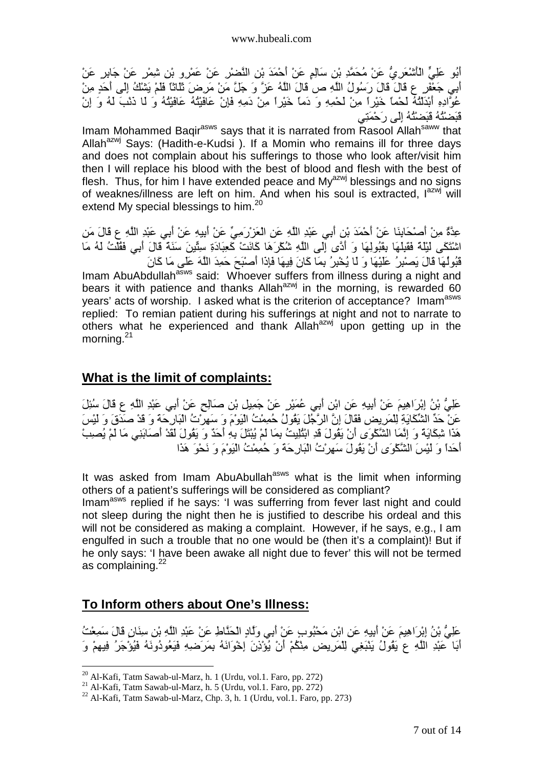أَبُو عَلِيٍّ الْأَشْعَرِيُّ عَنْ مُحَمَّدِ بْنِ سَالِمٍ عَنْ أَحْمَدَ بْنِ النَّصْرْ عَنْ عَمْرِو بْنِ شِمْرٍ عَنْ جَابِرٍ عَنْ أَبِي جَعْفَرٍ ع قَالَ قَالَ رَسُولُ اللَّهِ ص قَالَ اللَّهُ عَزَّ وَ جَلَّ مَنْ مَرِضَ تَلَاثَا فَلَمْ يَشْكُ إِلَى أَحَدٍ مِنْ عُوَّادِهِ أَبْدَلْتُهُ لَحْماً خَيْراً مِنْ لَحْمِهِ وَ دَماً خَيْراً مِنْ دَمِهِ فَإِنْ عَافَيْتُهُ مَافَيْتُهُ وَ لَا ذَنْبَ لَهُ وَ إِنْ قَبَصْتُهُ قَبَضْتُهُ إِلَى رَحْمَنِي

Imam Mohammed Baqir<sup>asws</sup> says that it is narrated from Rasool Allah<sup>saww</sup> that Allah<sup>azwj</sup> Says: (Hadith-e-Kudsi). If a Momin who remains ill for three days and does not complain about his sufferings to those who look after/visit him then I will replace his blood with the best of blood and flesh with the best of flesh. Thus, for him I have extended peace and  $My<sup>azwj</sup>$  blessings and no signs of weaknes/illness are left on him. And when his soul is extracted,  $I^{azwj}$  will extend My special blessings to him. $^{20}$ 

عِدَّةٌ مِنْ أَصْحَابِنَا عَنْ أَحْمَدَ بْنِ أَبِي عَبْدِ اللَّهِ عَنِ الْعَزْرَمِيِّ عَنْ أَبِيهِ عَنْ أَبِي عَبْدِ اللَّهِ ع قَالَ مَن اشْتَكَى لَيْلَةً فَقَلِلْهَا بِقَبُولِهَا وَ أَدَّى إِلَى اللَّهِ شُكْرَهَا كَانَتْ كَعِبَادَةِ سِتَّينَ سَنَةً قَالَ أَبِي فَقُلْتُ لَهُ مَا قَبُولُهَا قَالَ يَصْبِرُ عَلَيْهَا وَ لَا يُخْبِرُ بِمَا كَانَ فِيهَا فَإِذَا أَصْبْحَ حَمِدَ اللَّهَ عَلَى مَا كَانَ

Imam AbuAbdullah<sup>asws</sup> said: Whoever suffers from illness during a night and bears it with patience and thanks Allah<sup>azwj</sup> in the morning, is rewarded 60 years' acts of worship. I asked what is the criterion of acceptance? Imam<sup>asws</sup> replied: To remian patient during his sufferings at night and not to narrate to others what he experienced and thank Allah<sup>azwj</sup> upon getting up in the morning.<sup>21</sup>

#### **What is the limit of complaints:**

عَلِّيُّ بْنُ إِبْرَاهِيمَ عَنْ أُبِيهِ عَنِ ابْنِ أَبِي عُمَيْرٍ عَنْ جَمِيلٍ بْنِ صَالِحٍ عَنْ أَبِي عَبْدِ اللَّهِ ع قَالَ سُئِلَ عَنْ حَدٍّ الشِّكَايَةِ لِلْمَرِيضِ فَقَالَ إِنَّ الرَّجُلَ يَقُولُ حُمِمْتُ الْيَوْمَ وَ سَهِرْتُ الْبَارِحَة وَ قَدْ صَدَقَ وَ لَيْسَ هَذَا شَكِّايَةً وَ إِنَّمَا الشَّكْوَى أَنْ يَقُولَ قَدِ ابْنُلِيتُ بِمَا لَمْ يُبْتَلَ بِهِ أَحَدٌ وَ يَقُولَ لَقَدْ أَصَابَنِي مَا لَمْ يُصِبْ احَداً وَ لَيْسَ الشَّكْوَى أَنْ يَقُولَ سَهِرْتُ الْبَارَحَةَ وَ حُمِمْتُ الْيَوْمَ وَ نَحْوَ هَذَا

It was asked from Imam AbuAbullah<sup>asws</sup> what is the limit when informing others of a patient's sufferings will be considered as compliant? Imam<sup>asws</sup> replied if he says: 'I was sufferring from fever last night and could not sleep during the night then he is justified to describe his ordeal and this will not be considered as making a complaint. However, if he says, e.g., I am

engulfed in such a trouble that no one would be (then it's a complaint)! But if he only says: 'I have been awake all night due to fever' this will not be termed as complaining.<sup>22</sup>

## **To Inform others about One's Illness:**

عَلِيُّ بْنُ إِبْرَاهِيمَ عَنْ أُبِيهِ عَنِ ابْنِ مَحْبُوبٍ عَنْ أَبِي وَلَمَادٍ الْحَذَّاطِ عَنْ عَبْدِ اللَّهِ بْنِ سِنَانٍ قَالَ سَمِعْتُ أَبَا عَبْدِ اللَّهِ عِ يَقُولُ يَنْبَغِي لِلْمَرِيضِ مِنْكُمْ أَنْ يُوْنِنَ إِخْوَانَهُ بِمَرَضِهِ فَيَعُودُونَهُ فَيُوْجَرُ فِيهِمْ وَ

 $^{20}$  Al-Kafi, Tatm Sawab-ul-Marz, h. 1 (Urdu, vol. 1, Faro, pp. 272)

<sup>21</sup> Al-Kafi, Tatm Sawab-ul-Marz, h. 5 (Urdu, vol.1. Faro, pp. 272)

 $22$  Al-Kafi, Tatm Sawab-ul-Marz, Chp. 3, h. 1 (Urdu, vol.1. Faro, pp. 273)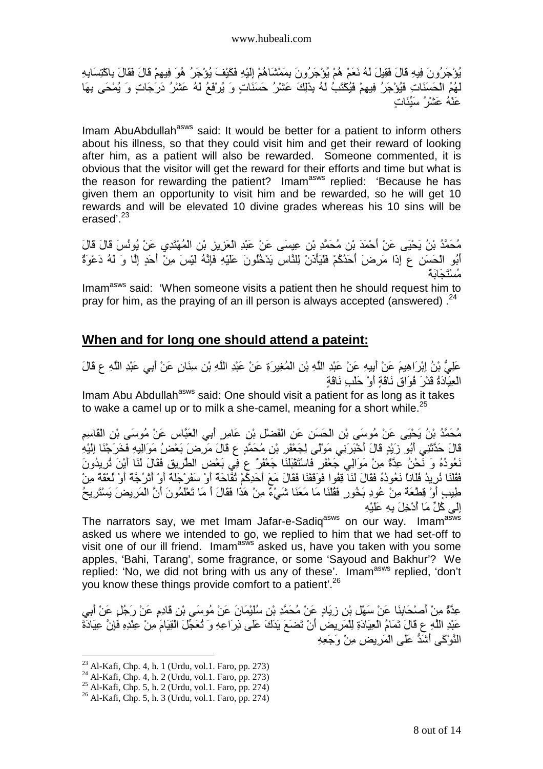يُوْجَرُونَ فِيهِ قَالَ فَقِيلَ لَهُ نَعَمْ هُمْ يُؤْجَرُونَ بِمَمْشَاهُمْ إِلَيْهِ فَكَيْفَ يُؤْجَرُ هُوَ فِيهِمْ قَالَ فَقَالَ بِاكْتِسَابِهِ لَهُمُ الْحَسَنَاتِ فَيُوْجَرُ فِيهِمْ فَيُكَتَبُ لَهُ بِذَلِكَ عَشْرُ حَسَنَاتٍ وَ يُرْفَعُ لَهُ عَشْرُ دَرَجَاتٍ وَ يُمْحَى بِهَا عَنْهُ عَشْرُ ْ سَنِّئَات

Imam AbuAbdullah<sup>asws</sup> said: It would be better for a patient to inform others about his illness, so that they could visit him and get their reward of looking after him, as a patient will also be rewarded. Someone commented, it is obvious that the visitor will get the reward for their efforts and time but what is the reason for rewarding the patient? Imam<sup>asws</sup> replied: 'Because he has given them an opportunity to visit him and be rewarded, so he will get 10 rewards and will be elevated 10 divine grades whereas his 10 sins will be erased'.<sup>23</sup>

مُحَمَّدُ بْنُ يَحْيَى عَنْ أَحْمَدَ بْنِ مُحَمَّدِ بْنِ عِيسَى عَنْ عَبْدِ الْعَزِيزِ بْنِ الْمُهْتَدِي عَنْ يُونُسَ قَالَ قَالَ أَبُو الْحَسَنِ عِ إِذَا مَرِضَ أَحَدُكُمْ فَلْيَأْذَنْ لِلنَّاسِ يَدْخُلُونَ عَلَيْهِ فَإِنَّهُ لَيْسَ مِنْ أَحَدٍ إِلَّا وَ لَهُ دَعْوَةٌ مُسْتَجَابَةٌ

Imam<sup>asws</sup> said: 'When someone visits a patient then he should request him to pray for him, as the praying of an ill person is always accepted (answered).  $24$ 

#### **When and for long one should attend a pateint:**

عَلِيُّ بْنُ إِبْرِ َاهِيمَ عَنْ أُبِيهِ عَنْ عَبْدِ اللَّهِ بْنِ الْمُغِيرِ وَ عَنْ عَبْدِ اللَّهِ بْنِ سِنَانٍ عَنْ أَبِي عَبْدِ اللَّهِ ع قَالَ الْعِيَادَةُ قَدْرَ فُوَاقٍ نَاقَةٍ أَوْ حَلْبِ نَاقَةٍ

Imam Abu Abdullah<sup>asws</sup> said: One should visit a patient for as long as it takes to wake a camel up or to milk a she-camel, meaning for a short while.<sup>25</sup>

مُحَمَّدُ بْنُ يَحْيَى عَنْ مُوسَى بْنِ الْحَسَنِ عَنِ الْفَضْلِ بْنِ عَامِرٍ أَبِي الْعَبَّاسِ عَنْ مُوسَى بْنِ الْقَاسِمِ قَالَ حَدَّتْنِي أَبُو زَيْدٍ قَالَ أَخْبَرَنِي مَوْلَمِي لِجَعْفَرِ بْنِ مُحَمَّدٍ عِ قَالَ مَرِضَ بَعْضُ مَوَالِيهِ فَخَرَجْنَا إِلَيْهِ نَعُودُهُ وَ نَحْنُ عِدَّةٌ مِنْ مَوَالِي جَعْفَرٍ فَاسْتَقْبَلُنَا جَعْفَرٌ عِ فِي بَعْضِ الطَّرِيقِ فَقَالَ لَنَا أَيْنَ تُرِيدُونَ فَقُلْنَا نُرِيدُ فُلَانَا نَعُودُهُ فَقَالَ لَنَا قِفُوا فَوَقَقْنَا فَقَالَ مَعَ أَحَدِكُمْ ثُقَاحَةٌ أَوْ الْمَرْا وَلُمْ أَوْ لُعْقَةٌ مِنْ طِيبِ أَوْ قِطْعَةٌ مِنْ عُودِ بَخُورٍ فَقُلْنَا مَا مَعَنَا شَيْءٌ مِنْ هَذَا فَقَالَ أَ مَا تَعْلَمُونَ أَنَّ الْمَرِيضَ يَسْتَرِيحُ إِلَى كُلِّ مَا أُدْخِلَ بِهِ عَلَيْهِ

The narrators say, we met Imam Jafar-e-Sadiq<sup>asws</sup> on our way. Imam<sup>asws</sup> asked us where we intended to go, we replied to him that we had set-off to visit one of our ill friend. Imam<sup>asws</sup> asked us, have you taken with you some apples, 'Bahi, Tarang', some fragrance, or some 'Sayoud and Bakhur'? We replied: 'No, we did not bring with us any of these'. Imamasws replied, 'don't you know these things provide comfort to a patient'.<sup>26</sup>

عِدَّةٌ مِنْ أَصْحَابِذَا عَنْ سَهْلٍ بْنِ زِيَادٍ عَنْ مُحَمَّدِ بْنِ سُلَيْمَانَ عَنْ مُوسَى بْنِ قَادِمٍ عَنْ رَجُلٍ عَنْ أَبِي عَبْدِ اللَّهِ ع قَالَ تَمَامُ الْعِيَادَةِ لِلْمَرِيضِ أَنْ تَضَعَ يَدَكَ عَلَى ذِرَاعِهِ وَ تُعَجِّلَ الْقِيَامَ مِنْ عِلْدِهِ فَإِنَّ عِيَادَةَ النَّوْكَي أَشْدُّ عَلَى الْمَرِ بِض مِنْ وَجَعِهِ

 $2<sup>23</sup>$  Al-Kafi, Chp. 4, h. 1 (Urdu, vol.1. Faro, pp. 273)

<sup>24</sup> Al-Kafi, Chp. 4, h. 2 (Urdu, vol.1. Faro, pp. 273)

<sup>&</sup>lt;sup>25</sup> Al-Kafi, Chp. 5, h. 2 (Urdu, vol.1. Faro, pp. 274)

<sup>26</sup> Al-Kafi, Chp. 5, h. 3 (Urdu, vol.1. Faro, pp. 274)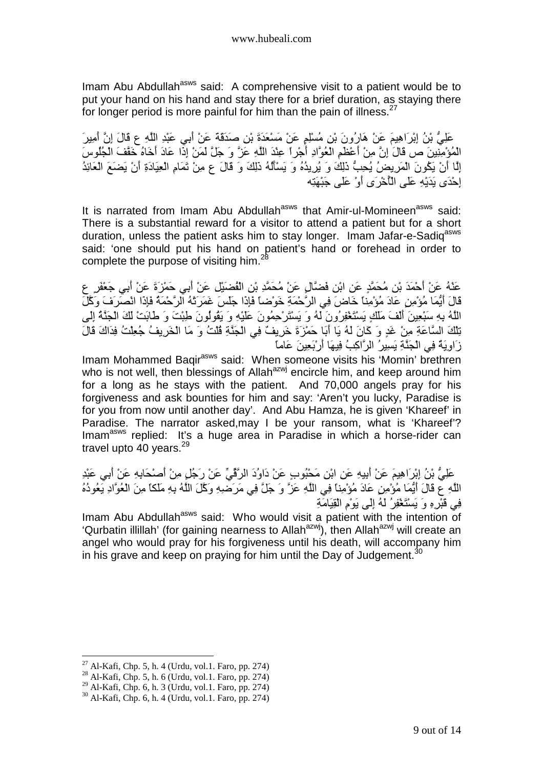Imam Abu Abdullah<sup>asws</sup> said: A comprehensive visit to a patient would be to put your hand on his hand and stay there for a brief duration, as staying there for longer period is more painful for him than the pain of illness. $27$ 

َ عَلِيُّ بْنُ إِبْرَاهِيمَ عَنْ هَارُونَ بْنِ مُسْلِمٍ عَنْ مَسْعَدَةَ بْنِ صَدَقَةٌ عَنْ أَبِي عَبْدِ اللَّهِ ع قَالَ إِنَّ أَمِيرَ ي ...<br>الْمُؤْمِنِينَ ص قَالَ إِنَّ مِنْ أَعْظَمِ الْعُوَّادِ أَجْرِ أَ عِنْدَ اللَّهِ عَزَّ وَ جَلَّ لَمَنْ إِذَا عَادَ أَخَاهُ خَقَفَ الْجُلُوسَ رَ رَبَّيْنِ .<br>إِنَّا أَنْ يَكُونَ الْمَرِيضُ يُحِبُّ ذَلِكَ وَ يُرِيدُهُ وَ يَسْأَلُهُ ذَلِكَ وَ قَالَ ع مِنْ ثَمَامِ الْعِيَادَةِ أَنْ يَضمَعَ الْعَائِدُ إِِِّحْدَى بَدَيْهِ عَلَى الْأَخْرَى أَوْ عَلَى جَنْهَتَه

It is narrated from Imam Abu Abdullah<sup>asws</sup> that Amir-ul-Momineen<sup>asws</sup> said: There is a substantial reward for a visitor to attend a patient but for a short duration, unless the patient asks him to stay longer. Imam Jafar-e-Sadiq<sup>asws</sup> said: 'one should put his hand on patient's hand or forehead in order to complete the purpose of visiting him. $^{28}$ 

عَدْهُ عَنْ أَحْمَدَ بْنِ مُحَمَّدٍ عَنِ ابْنِ فَضَّالٍ عَنْ مُحَمَّدِ بْنِ الْفُضَيْلِ عَنْ أَبِي حَمْزَةَ عَنْ أَبِي جَعْفَرٍ ع قَالَ أَيُّمَا مُؤْمِنٍ عَادَ مُؤْمِناً خَاضَ فِي الرَّحْمَةِ خَوْضاً فَإِذَا جَلَسَ غَمَرَتْهُ الرَّحْمَةُ فَإِذَا انْصَرَفَ وَكَّلَ الْمُهُ بِهِ سَبْعِينَ أَلْفَ مَلْكٍ يَسْتَغْفِرُونَ لَمُ وَ يَسْتَرْحِمُونَ عَلَيْهِ وَ يَقُولُونَ طَبْتَ وَ طَابَتْ لَكَ الْجَنَّةُ إِلَى تِلْكَ السَّاعَةِ مِنْ غَدٍ وَ كَانَ لَهُ يَا أَبَا حَمْرُةَ خَرِيفٌ فِي الْجَذَّةِ قُلْتُ وَ مَا الْخَرِيفُ جُعِلْتُ فِدَاكَ قَالَ زَاوِيَةٌ فِي الْجَذَّةِ يَسِيرُ الرَّاكِبُ فِيهَا أَرْبَعِينَ عَاماً

Imam Mohammed Baqir<sup>asws</sup> said: When someone visits his 'Momin' brethren who is not well, then blessings of Allah<sup>azwj</sup> encircle him, and keep around him for a long as he stays with the patient. And 70,000 angels pray for his forgiveness and ask bounties for him and say: 'Aren't you lucky, Paradise is for you from now until another day'. And Abu Hamza, he is given 'Khareef' in Paradise. The narrator asked,may I be your ransom, what is 'Khareef'? Imam<sup>asws</sup> replied: It's a huge area in Paradise in which a horse-rider can travel upto 40 years.<sup>29</sup>

َ عَلِيُّ بْنُ إِبْرَاهِيمَ عَنْ أُبِيهِ عَنِ ابْنِ مَحْبُوبٍ عَنْ دَاوُدَ الرَّقَّيِّ عَنْ رَجُلٍ مِنْ أَصْحَابِهِ عَنْ أَبِي عَبْدِ اللَّهِ ع قَالَ أَيُّمَا مُؤْمِنٍ عَادَ مُؤْمِنًا فِي اللَّهِ عَزَّ وَ جَلَّ فِي مَرَضْهِ وَكَلَ اللَّهُ بِهِ مَلَكًا مِنَ الْعُوَّادِ يَعُودُهُ فِي قَبْرِهِ وَ يَسْتَغْفِرُ لَمُه إِلَى يَوْمِ الْقِيَامَةِ

Imam Abu Abdullah<sup>asws</sup> said: Who would visit a patient with the intention of 'Qurbatin illillah' (for gaining nearness to Allah<sup>azwj</sup>), then Allah<sup>azwj</sup> will create an angel who would pray for his forgiveness until his death, will accompany him in his grave and keep on praying for him until the Day of Judgement.<sup>30</sup>

 $27$  Al-Kafi, Chp. 5, h. 4 (Urdu, vol.1. Faro, pp. 274)

<sup>28</sup> Al-Kafi, Chp. 5, h. 6 (Urdu, vol.1. Faro, pp. 274)

 $^{29}$  Al-Kafi, Chp. 6, h. 3 (Urdu, vol.1. Faro, pp. 274)

<sup>30</sup> Al-Kafi, Chp. 6, h. 4 (Urdu, vol.1. Faro, pp. 274)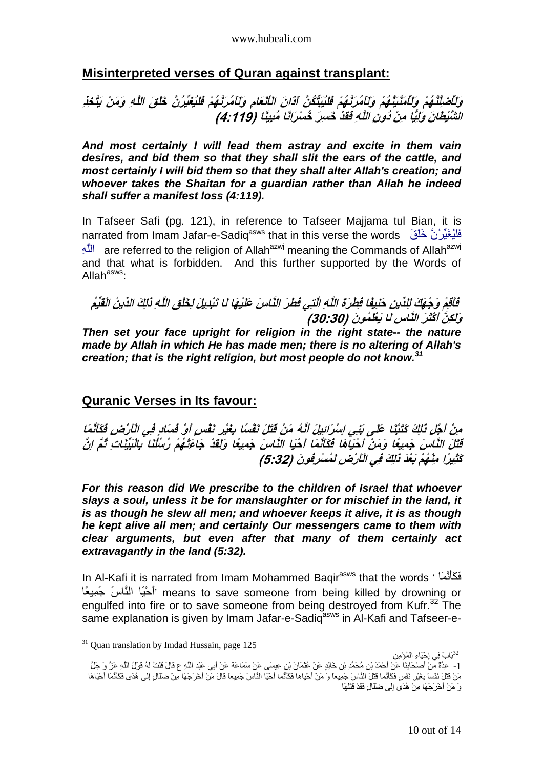#### **Misinterpreted verses of Quran against transplant:**

# وَلَأَصْلِّنَّـٰهُمْ وَلَأَمَنِّيَنَّـٰهُمْ وَلَأَمُرَنَّـٰهُمْ فَلَيُبَتِّكُنَّ آذَانَ الْأَنْعَامِ وَلَأَمُرَنَّـهُمْ فَلَيُغَيِّرُنَّ خَلْقَ اللَّهِ وَمَنْ يَتَّخَذِ الشَّنْيطانَ وَلِيًا مِنْ دُونِ اللَّهِ فَقَدْ خَسِرَ خُسْرَانًا مُبِينًا (4:119*)*

**And most certainly I will lead them astray and excite in them vain desires, and bid them so that they shall slit the ears of the cattle, and most certainly I will bid them so that they shall alter Allah's creation; and whoever takes the Shaitan for a guardian rather than Allah he indeed shall suffer a manifest loss (4:119).** 

In Tafseer Safi (pg. 121), in reference to Tafseer Majjama tul Bian, it is narrated from Imam Jafar-e-Sadiq<sup>asws</sup> that in this verse the words نُلْبُغَيِّرُنَّ خَلْقَ اللَّهِ are referred to the religion of Allah<sup>azwj</sup> meaning the Commands of Allah<sup>azwj</sup> and that what is forbidden. And this further supported by the Words of Allah<sup>asws.</sup>

فَاقِمْ وَجْهَكَ لِلدِّينِ حَنِيفًا فِطْرَة اللَّهِ الَّتِي فَطْرَ النَّاسَ عَلَيْهَا لَا تَبْدِيلَ لِخَلْق اللَّهِ ذَلِكَ الدِّينُ الْقَيِّم وَلِكِنَّ أَكْثَرَ النَّاسِ لَ**ا يَعْلَمُونَ (30:30) Then set your face upright for religion in the right state-- the nature made by Allah in which He has made men; there is no altering of Allah's creation; that is the right religion, but most people do not know.<sup>31</sup>**

## **Quranic Verses in Its favour:**

مِنْ أَجْلِ ذَلِكَ كَتَبْنَا عَلَى بَنِي إِسْرَائِيلَ أَنَّهُ مَنْ قَتَلَ نَفْسًا بِغَيْرِ نَفْسٍ أَوْ قُسَادٍ فِي الْأَرْضِ فَكَأَنَّمَا قَتَلَ النَّاسَ جَمِيعًا وَمَنْ أَحْيَاهَا فَكَأَنَّمَا أَحْيَا النَّاسَ جَمِيعًا وَلَقَدْ جَاءَتْهُمْ رُسُلُنَا بِالْبَيِّنَاتِ تُمَّ ا<sub>ِ</sub>نَّ كَثْنِيرًا مِنْـْهُمْ بَعْدَ ذَٰلِكَ ف*ِي الْأَرْضِ لَمُسْرِفُونَ (5:32)* 

**For this reason did We prescribe to the children of Israel that whoever slays a soul, unless it be for manslaughter or for mischief in the land, it is as though he slew all men; and whoever keeps it alive, it is as though he kept alive all men; and certainly Our messengers came to them with clear arguments, but even after that many of them certainly act extravagantly in the land (5:32).** 

In Al-Kafi it is narrated from Imam Mohammed Baqir<sup>asws</sup> that the words ' فَكَأَنَّمَا أَحْيَا الْذَّاسَ جَمِيعًا'' means to save someone from being killed by drowning or engulfed into fire or to save someone from being destroyed from Kufr.<sup>32</sup> The same explanation is given by Imam Jafar-e-Sadigasive in Al-Kafi and Tafseer-e-

 $31$  Quan translation by Imdad Hussain, page 125

<sup>&</sup>lt;sup>32</sup>بَابٌ فِي إِحْيَاءِ الْمُؤْمِن

<sup>[ -</sup> عِدَّةٌ مِنْ أَصْحَابِنَا عَنْ أَحْمَدَ بْنِ مُحَمَّدِ بْنِ خَالِدٍ عَنْ عُثْمَانَ بْنِ عِيسَى عَنْ سَمَاعَة عَنْ أَبِي عَبْدِ اللَّهِ عِ قَالَ قُلْتُ لَهُ قَوْلُ اللَّهِ عَنْ ۚ وَ جَلَّ مَنْ قَتْلَ نَفْساً بِغَيْرِ نَفْسٍ فَكَأَنَّما قَتْلَ النَّاسَ جَمِيعاً وَ مَنْ أُحْياها فَكَأَنَّما أَحْيَا النَّاسَ جَمِيعاً قَالَ مَنْ أُخْرَجَهَا مِنْ ضَلَالٍ إِلَى هُدًى فَكَأَنَّمَا أُحْيَاهَا وَ مَنْ أَخْرَجَهَا مِنْ هُدًى إِلَى ضَلَّالٍ فَقَدْ قَتَلَهَا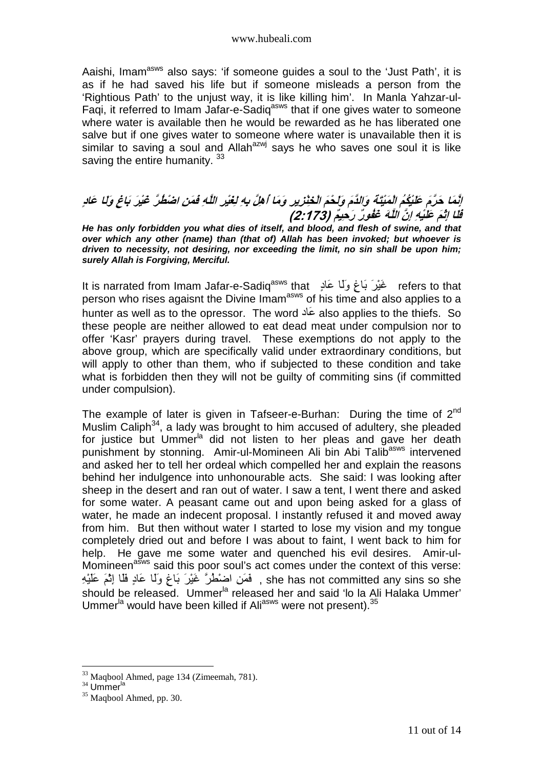Aaishi, Imam<sup>asws</sup> also says: 'if someone guides a soul to the 'Just Path', it is as if he had saved his life but if someone misleads a person from the 'Rightious Path' to the unjust way, it is like killing him'. In Manla Yahzar-ul-Faqi, it referred to Imam Jafar-e-Sadiq<sup>asws</sup> that if one gives water to someone where water is available then he would be rewarded as he has liberated one salve but if one gives water to someone where water is unavailable then it is similar to saving a soul and Allah<sup>azwj</sup> says he who saves one soul it is like saving the entire humanity.<sup>33</sup>

# *إِنَّمَا حَرَّمَ عَلَيْكُمُ الْمَيْتَةَ وَالذَّمَ وَلَحْمَ الْخِنْزِيرِ وَمَا أَهِلَّ بِهِ لِغَيْرِ اللَّهِ فَمَنِ اضْطُرَّ غَيْرَ بَاغِ وَلَ*ا عَا*ن*ِ بِعَد سَمِنًا.<br>قُلَّا إِنَّهُ عَلَيْهِ إِنَّ *اللَّهَ* عَقُورٌ رَحِيمٌ (2:173)

**He has only forbidden you what dies of itself, and blood, and flesh of swine, and that over which any other (name) than (that of) Allah has been invoked; but whoever is driven to necessity, not desiring, nor exceeding the limit, no sin shall be upon him; surely Allah is Forgiving, Merciful.** 

It is narrated from Imam Jafar-e-Sadiqasws that ٍدَ ََو ٍغَ- َْ'َ [refers to that person who rises agaisnt the Divine Imam<sup>asws</sup> of his time and also applies to a hunter as well as to the opressor. The word عَاد also applies to the thiefs. So these people are neither allowed to eat dead meat under compulsion nor to offer 'Kasr' prayers during travel. These exemptions do not apply to the above group, which are specifically valid under extraordinary conditions, but will apply to other than them, who if subjected to these condition and take what is forbidden then they will not be guilty of commiting sins (if committed under compulsion).

The example of later is given in Tafseer-e-Burhan: During the time of  $2^{nd}$ Muslim Caliph $34$ , a lady was brought to him accused of adultery, she pleaded for justice but Ummer<sup>la</sup> did not listen to her pleas and gave her death punishment by stonning. Amir-ul-Momineen Ali bin Abi Talib<sup>asws</sup> intervened and asked her to tell her ordeal which compelled her and explain the reasons behind her indulgence into unhonourable acts. She said: I was looking after sheep in the desert and ran out of water. I saw a tent, I went there and asked for some water. A peasant came out and upon being asked for a glass of water, he made an indecent proposal. I instantly refused it and moved away from him. But then without water I started to lose my vision and my tongue completely dried out and before I was about to faint, I went back to him for help. He gave me some water and quenched his evil desires. Amir-ul-Momineen<sup>asws</sup> said this poor soul's act comes under the context of this verse: she has not committed any sins so she , ۖ فَمَن اضْطُرَّ غَيْرَ بَاغٍ وَلَا عَادٍ فَلَا إِنَّمَ عَلَيْهِ should be released. Ummer<sup>la</sup> released her and said 'lo la Ali Halaka Ummer' Ummer<sup>la</sup> would have been killed if Ali<sup>asws</sup> were not present).<sup>35</sup>

<sup>33</sup> Maqbool Ahmed, page 134 (Zimeemah, 781).

 $34$  Ummer $<sup>1a</sup>$ </sup>

 $35$  Maqbool Ahmed, pp. 30.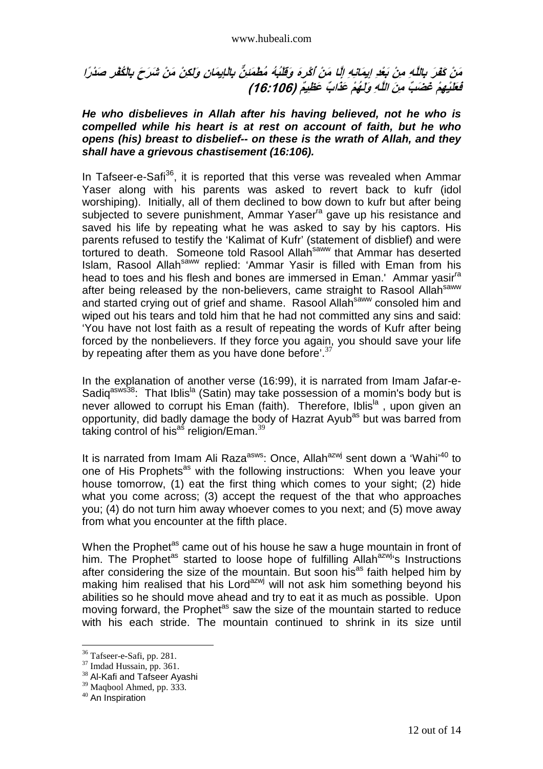#### www.hubeali.com

## مَنْ كَفَرَ بِاللَّهِ مِنْ بَعْدِ إِيمَانِهِ إِلَّا مَنْ أَكْرِهَ وَقَلْبُهُ مُطْمَئِنٌّ بِالْإِيمَا*نِ و*ِلَكِنْ مَنْ شَرَحَ بِالْكُفْرِ صَدْرًا َ *فَعَلَيْهِمْ غَضَبِّ مِنَ اللَّهِ وَلَهُمْ عَذَابٌ عَظِيمٌ (106:106)*

#### **He who disbelieves in Allah after his having believed, not he who is compelled while his heart is at rest on account of faith, but he who opens (his) breast to disbelief-- on these is the wrath of Allah, and they shall have a grievous chastisement (16:106).**

In Tafseer-e-Safi<sup>36</sup>, it is reported that this verse was revealed when Ammar Yaser along with his parents was asked to revert back to kufr (idol worshiping). Initially, all of them declined to bow down to kufr but after being subjected to severe punishment, Ammar Yaser<sup>ra</sup> gave up his resistance and saved his life by repeating what he was asked to say by his captors. His parents refused to testify the 'Kalimat of Kufr' (statement of disblief) and were tortured to death. Someone told Rasool Allah<sup>saww</sup> that Ammar has deserted Islam, Rasool Allah<sup>saww</sup> replied: 'Ammar Yasir is filled with Eman from his head to toes and his flesh and bones are immersed in Eman.' Ammar vasir<sup>ra</sup> after being released by the non-believers, came straight to Rasool Allahsaww and started crying out of grief and shame. Rasool Allah<sup>saww</sup> consoled him and wiped out his tears and told him that he had not committed any sins and said: 'You have not lost faith as a result of repeating the words of Kufr after being forced by the nonbelievers. If they force you again, you should save your life by repeating after them as you have done before'.  $37$ 

In the explanation of another verse (16:99), it is narrated from Imam Jafar-e-Sadiq<sup>asws38</sup>: That Iblis<sup>la</sup> (Satin) may take possession of a momin's body but is never allowed to corrupt his Eman (faith). Therefore, Iblis<sup>la</sup>, upon given an opportunity, did badly damage the body of Hazrat Ayub<sup>as</sup> but was barred from taking control of his<sup>as</sup> religion/Eman.<sup>39</sup>

It is narrated from Imam Ali Raza<sup>asws</sup>: Once, Allah<sup>azwj</sup> sent down a 'Wahi'<sup>40</sup> to one of His Prophets<sup>as</sup> with the following instructions: When you leave your house tomorrow, (1) eat the first thing which comes to your sight; (2) hide what you come across; (3) accept the request of the that who approaches you; (4) do not turn him away whoever comes to you next; and (5) move away from what you encounter at the fifth place.

When the Prophet<sup>as</sup> came out of his house he saw a huge mountain in front of him. The Prophet<sup>as</sup> started to loose hope of fulfilling Allah<sup>azwj</sup>'s Instructions after considering the size of the mountain. But soon his<sup>as</sup> faith helped him by making him realised that his Lord<sup>azwj</sup> will not ask him something beyond his abilities so he should move ahead and try to eat it as much as possible. Upon moving forward, the Prophet<sup>as</sup> saw the size of the mountain started to reduce with his each stride. The mountain continued to shrink in its size until

<sup>36</sup> Tafseer-e-Safi, pp. 281.

<sup>37</sup> Imdad Hussain, pp. 361.

<sup>&</sup>lt;sup>38</sup> Al-Kafi and Tafseer Ayashi

<sup>&</sup>lt;sup>39</sup> Maqbool Ahmed, pp. 333.

<sup>&</sup>lt;sup>40</sup> An Inspiration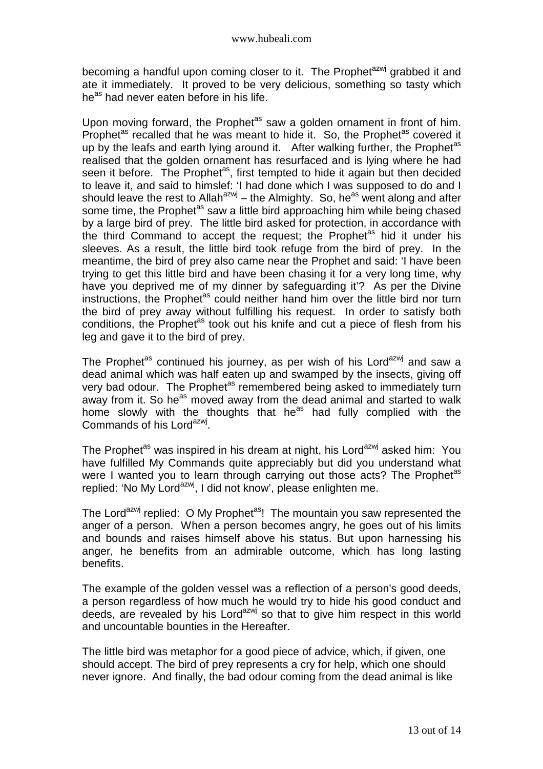becoming a handful upon coming closer to it. The Prophet<sup>azwj</sup> grabbed it and ate it immediately. It proved to be very delicious, something so tasty which he<sup>as</sup> had never eaten before in his life.

Upon moving forward, the Prophet<sup>as</sup> saw a golden ornament in front of him. Prophet<sup>as</sup> recalled that he was meant to hide it. So, the Prophet<sup>as</sup> covered it up by the leafs and earth lying around it. After walking further, the Prophet<sup>as</sup> realised that the golden ornament has resurfaced and is lying where he had seen it before. The Prophet<sup>as</sup>, first tempted to hide it again but then decided to leave it, and said to himslef: 'I had done which I was supposed to do and I should leave the rest to Allah<sup>azwj</sup> – the Almighty. So, he<sup>as</sup> went along and after some time, the Prophet<sup>as</sup> saw a little bird approaching him while being chased by a large bird of prey. The little bird asked for protection, in accordance with the third Command to accept the request; the Prophet<sup>as</sup> hid it under his sleeves. As a result, the little bird took refuge from the bird of prey. In the meantime, the bird of prey also came near the Prophet and said: 'I have been trying to get this little bird and have been chasing it for a very long time, why have you deprived me of my dinner by safeguarding it'? As per the Divine instructions, the Prophet<sup>as</sup> could neither hand him over the little bird nor turn the bird of prey away without fulfilling his request. In order to satisfy both conditions, the Prophet<sup>as</sup> took out his knife and cut a piece of flesh from his leg and gave it to the bird of prey.

The Prophet<sup>as</sup> continued his journey, as per wish of his Lord<sup>azwj</sup> and saw a dead animal which was half eaten up and swamped by the insects, giving off very bad odour. The Prophet<sup>as</sup> remembered being asked to immediately turn away from it. So he<sup>as</sup> moved away from the dead animal and started to walk home slowly with the thoughts that he<sup>as</sup> had fully complied with the Commands of his Lord<sup>azwj</sup>.

The Prophet<sup>as</sup> was inspired in his dream at night, his Lord<sup>azwj</sup> asked him: You have fulfilled My Commands quite appreciably but did you understand what were I wanted you to learn through carrying out those acts? The Prophet<sup>as</sup> replied: 'No My Lord<sup>azwj</sup>, I did not know', please enlighten me.

The Lord<sup>azwj</sup> replied: O My Prophet<sup>as</sup>! The mountain you saw represented the anger of a person. When a person becomes angry, he goes out of his limits and bounds and raises himself above his status. But upon harnessing his anger, he benefits from an admirable outcome, which has long lasting benefits.

The example of the golden vessel was a reflection of a person's good deeds, a person regardless of how much he would try to hide his good conduct and deeds, are revealed by his Lord<sup>azwj</sup> so that to give him respect in this world and uncountable bounties in the Hereafter.

The little bird was metaphor for a good piece of advice, which, if given, one should accept. The bird of prey represents a cry for help, which one should never ignore. And finally, the bad odour coming from the dead animal is like